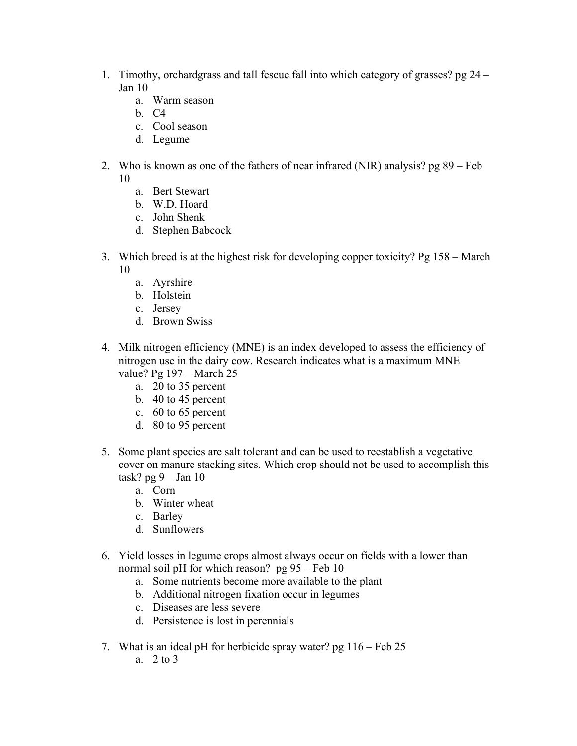- 1. Timothy, orchardgrass and tall fescue fall into which category of grasses? pg 24 Jan 10
	- a. Warm season
	- b. C4
	- c. Cool season
	- d. Legume
- 2. Who is known as one of the fathers of near infrared (NIR) analysis? pg 89 Feb 10
	- a. Bert Stewart
	- b. W.D. Hoard
	- c. John Shenk
	- d. Stephen Babcock
- 3. Which breed is at the highest risk for developing copper toxicity? Pg 158 March 10
	- a. Ayrshire
	- b. Holstein
	- c. Jersey
	- d. Brown Swiss
- 4. Milk nitrogen efficiency (MNE) is an index developed to assess the efficiency of nitrogen use in the dairy cow. Research indicates what is a maximum MNE value? Pg 197 – March 25
	- a. 20 to 35 percent
	- b. 40 to 45 percent
	- c. 60 to 65 percent
	- d. 80 to 95 percent
- 5. Some plant species are salt tolerant and can be used to reestablish a vegetative cover on manure stacking sites. Which crop should not be used to accomplish this task? pg 9 – Jan 10
	- a. Corn
	- b. Winter wheat
	- c. Barley
	- d. Sunflowers
- 6. Yield losses in legume crops almost always occur on fields with a lower than normal soil pH for which reason? pg 95 – Feb 10
	- a. Some nutrients become more available to the plant
	- b. Additional nitrogen fixation occur in legumes
	- c. Diseases are less severe
	- d. Persistence is lost in perennials
- 7. What is an ideal pH for herbicide spray water? pg 116 Feb 25
	- a. 2 to 3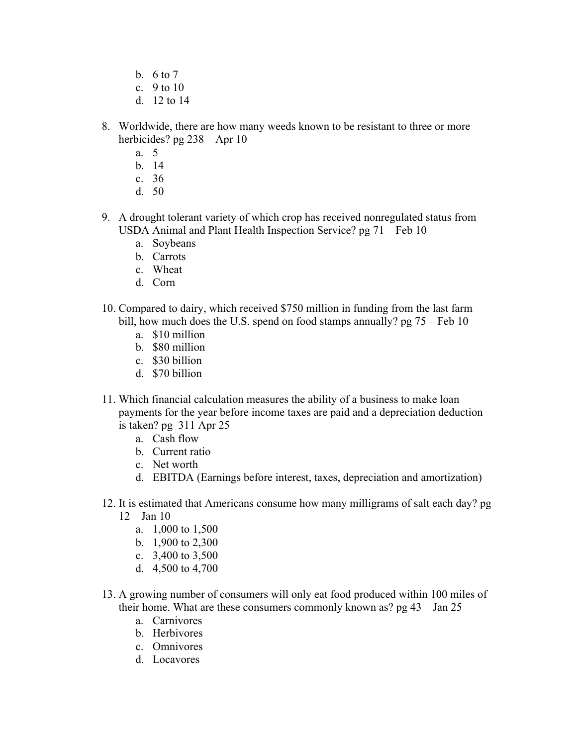- b. 6 to 7
- c.  $9$  to 10
- d. 12 to 14
- 8. Worldwide, there are how many weeds known to be resistant to three or more herbicides? pg 238 – Apr 10
	- a. 5
	- b. 14
	- c. 36
	- d. 50
- 9. A drought tolerant variety of which crop has received nonregulated status from USDA Animal and Plant Health Inspection Service? pg 71 – Feb 10
	- a. Soybeans
	- b. Carrots
	- c. Wheat
	- d. Corn
- 10. Compared to dairy, which received \$750 million in funding from the last farm bill, how much does the U.S. spend on food stamps annually? pg 75 – Feb 10
	- a. \$10 million
	- b. \$80 million
	- c. \$30 billion
	- d. \$70 billion
- 11. Which financial calculation measures the ability of a business to make loan payments for the year before income taxes are paid and a depreciation deduction is taken? pg 311 Apr 25
	- a. Cash flow
	- b. Current ratio
	- c. Net worth
	- d. EBITDA (Earnings before interest, taxes, depreciation and amortization)
- 12. It is estimated that Americans consume how many milligrams of salt each day? pg  $12 - Jan 10$ 
	- a. 1,000 to 1,500
	- b. 1,900 to 2,300
	- c. 3,400 to 3,500
	- d. 4,500 to 4,700
- 13. A growing number of consumers will only eat food produced within 100 miles of their home. What are these consumers commonly known as? pg 43 – Jan 25
	- a. Carnivores
	- b. Herbivores
	- c. Omnivores
	- d. Locavores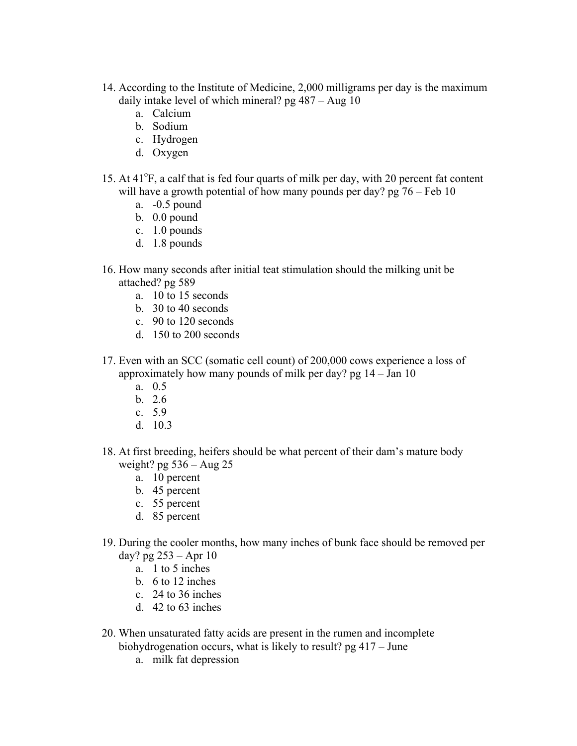- 14. According to the Institute of Medicine, 2,000 milligrams per day is the maximum daily intake level of which mineral? pg 487 – Aug 10
	- a. Calcium
	- b. Sodium
	- c. Hydrogen
	- d. Oxygen
- 15. At 41<sup>o</sup>F, a calf that is fed four quarts of milk per day, with 20 percent fat content will have a growth potential of how many pounds per day?  $pg\ 76 - Feb\ 10$ 
	- a. -0.5 pound
	- b. 0.0 pound
	- c. 1.0 pounds
	- d. 1.8 pounds
- 16. How many seconds after initial teat stimulation should the milking unit be attached? pg 589
	- a. 10 to 15 seconds
	- b. 30 to 40 seconds
	- c. 90 to 120 seconds
	- d. 150 to 200 seconds
- 17. Even with an SCC (somatic cell count) of 200,000 cows experience a loss of approximately how many pounds of milk per day? pg 14 – Jan 10
	- a. 0.5
	- b. 2.6
	- c. 5.9
	- d. 10.3
- 18. At first breeding, heifers should be what percent of their dam's mature body weight? pg  $536 - Aug\ 25$ 
	- a. 10 percent
	- b. 45 percent
	- c. 55 percent
	- d. 85 percent
- 19. During the cooler months, how many inches of bunk face should be removed per day? pg 253 – Apr 10
	- a. 1 to 5 inches
	- b. 6 to 12 inches
	- c. 24 to 36 inches
	- d. 42 to 63 inches
- 20. When unsaturated fatty acids are present in the rumen and incomplete biohydrogenation occurs, what is likely to result? pg 417 – June
	- a. milk fat depression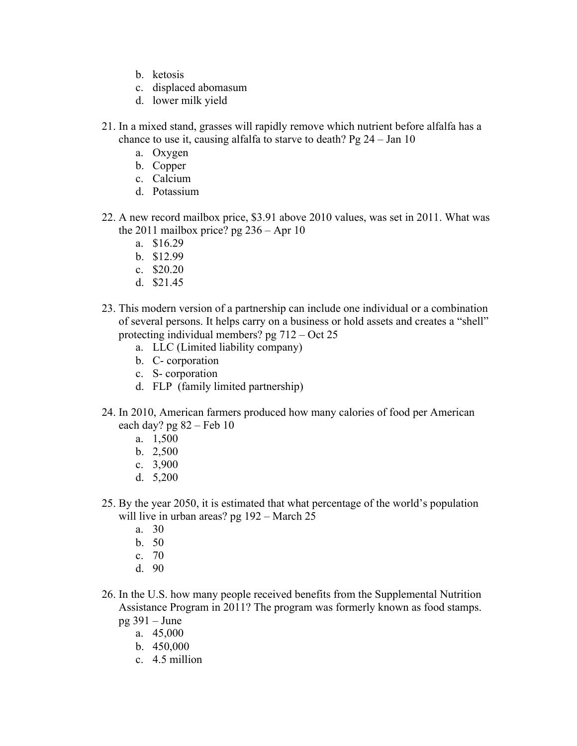- b. ketosis
- c. displaced abomasum
- d. lower milk yield
- 21. In a mixed stand, grasses will rapidly remove which nutrient before alfalfa has a chance to use it, causing alfalfa to starve to death? Pg 24 – Jan 10
	- a. Oxygen
	- b. Copper
	- c. Calcium
	- d. Potassium
- 22. A new record mailbox price, \$3.91 above 2010 values, was set in 2011. What was the 2011 mailbox price? pg  $236 -$ Apr 10
	- a. \$16.29
	- b. \$12.99
	- c. \$20.20
	- d. \$21.45
- 23. This modern version of a partnership can include one individual or a combination of several persons. It helps carry on a business or hold assets and creates a "shell" protecting individual members? pg 712 – Oct 25
	- a. LLC (Limited liability company)
	- b. C- corporation
	- c. S- corporation
	- d. FLP (family limited partnership)
- 24. In 2010, American farmers produced how many calories of food per American each day?  $pg 82 - Feb 10$ 
	- a. 1,500
	- b. 2,500
	- c. 3,900
	- d. 5,200
- 25. By the year 2050, it is estimated that what percentage of the world's population will live in urban areas? pg 192 – March 25
	- a. 30
	- b. 50
	- c. 70
	- d. 90
- 26. In the U.S. how many people received benefits from the Supplemental Nutrition Assistance Program in 2011? The program was formerly known as food stamps. pg 391 – June
	- a. 45,000
		- b. 450,000
		- c. 4.5 million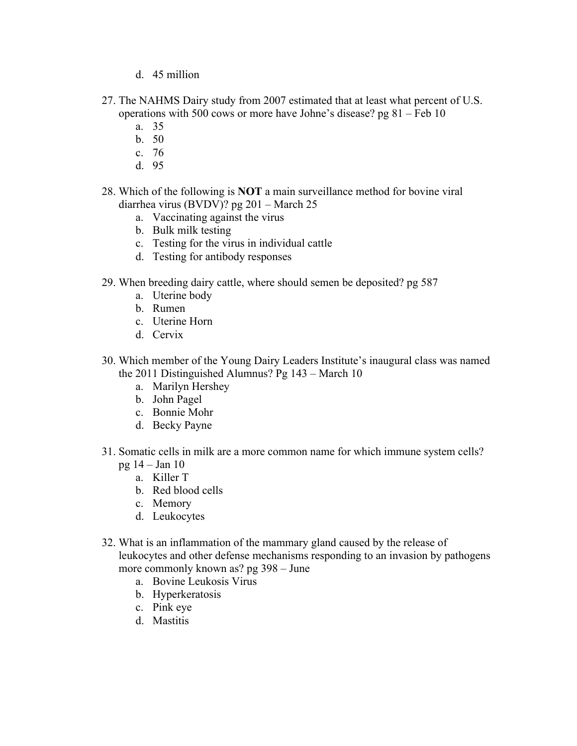- d. 45 million
- 27. The NAHMS Dairy study from 2007 estimated that at least what percent of U.S. operations with 500 cows or more have Johne's disease? pg 81 – Feb 10
	- a. 35
	- b. 50
	- c. 76
	- d. 95
- 28. Which of the following is **NOT** a main surveillance method for bovine viral diarrhea virus (BVDV)? pg 201 – March 25
	- a. Vaccinating against the virus
	- b. Bulk milk testing
	- c. Testing for the virus in individual cattle
	- d. Testing for antibody responses
- 29. When breeding dairy cattle, where should semen be deposited? pg 587
	- a. Uterine body
	- b. Rumen
	- c. Uterine Horn
	- d. Cervix
- 30. Which member of the Young Dairy Leaders Institute's inaugural class was named the 2011 Distinguished Alumnus? Pg 143 – March 10
	- a. Marilyn Hershey
	- b. John Pagel
	- c. Bonnie Mohr
	- d. Becky Payne
- 31. Somatic cells in milk are a more common name for which immune system cells?
	- pg 14 Jan 10
		- a. Killer T
		- b. Red blood cells
		- c. Memory
		- d. Leukocytes
- 32. What is an inflammation of the mammary gland caused by the release of leukocytes and other defense mechanisms responding to an invasion by pathogens more commonly known as? pg 398 – June
	- a. Bovine Leukosis Virus
	- b. Hyperkeratosis
	- c. Pink eye
	- d. Mastitis